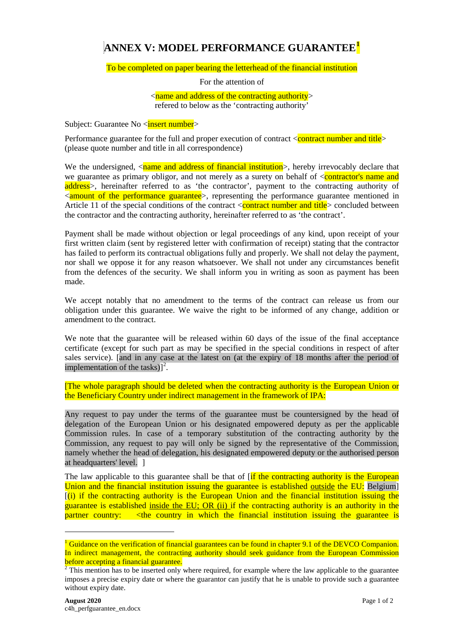## **ANNEX V: MODEL PERFORMANCE GUARANTEE[1](#page-0-0)**

## To be completed on paper bearing the letterhead of the financial institution

For the attention of

 $\langle$  < name and address of the contracting authority  $>$ refered to below as the 'contracting authority'

Subject: Guarantee No <**insert number**>

Performance guarantee for the full and proper execution of contract  $\alpha$   $\alpha$  contract number and title  $\alpha$ (please quote number and title in all correspondence)

We the undersigned,  $\langle$ name and address of financial institution $\rangle$ , hereby irrevocably declare that we guarantee as primary obligor, and not merely as a surety on behalf of  $\leq$  contractor's name and address<sup>></sup>, hereinafter referred to as 'the contractor', payment to the contracting authority of  $\leq$  amount of the performance guarantee >, representing the performance guarantee mentioned in Article 11 of the special conditions of the contract  $\alpha$  contract number and title  $>$  concluded between the contractor and the contracting authority, hereinafter referred to as 'the contract'.

Payment shall be made without objection or legal proceedings of any kind, upon receipt of your first written claim (sent by registered letter with confirmation of receipt) stating that the contractor has failed to perform its contractual obligations fully and properly. We shall not delay the payment, nor shall we oppose it for any reason whatsoever. We shall not under any circumstances benefit from the defences of the security. We shall inform you in writing as soon as payment has been made.

We accept notably that no amendment to the terms of the contract can release us from our obligation under this guarantee. We waive the right to be informed of any change, addition or amendment to the contract.

We note that the guarantee will be released within 60 days of the issue of the final acceptance certificate (except for such part as may be specified in the special conditions in respect of after sales service). [and in any case at the latest on (at the expiry of 18 months after the period of implementation of the tasks) $]^{2}$  $]^{2}$  $]^{2}$ .

[The whole paragraph should be deleted when the contracting authority is the European Union or the Beneficiary Country under indirect management in the framework of IPA:

Any request to pay under the terms of the guarantee must be countersigned by the head of delegation of the European Union or his designated empowered deputy as per the applicable Commission rules. In case of a temporary substitution of the contracting authority by the Commission, any request to pay will only be signed by the representative of the Commission, namely whether the head of delegation, his designated empowered deputy or the authorised person at headquarters' level. ]

The law applicable to this guarantee shall be that of [if the contracting authority is the European Union and the financial institution issuing the guarantee is established outside the EU: Belgium]  $\left[ \frac{1}{1} \right]$  if the contracting authority is the European Union and the financial institution issuing the guarantee is established inside the EU; OR (ii) if the contracting authority is an authority in the partner country: <the country in which the financial institution issuing the guarantee is

-

<span id="page-0-0"></span><sup>&</sup>lt;sup>1</sup> Guidance on the verification of financial guarantees can be found in chapter 9.1 of the DEVCO Companion. In indirect management, the contracting authority should seek guidance from the European Commission before accepting a financial guarantee.

<span id="page-0-1"></span><sup>&</sup>lt;sup>2</sup> This mention has to be inserted only where required, for example where the law applicable to the guarantee imposes a precise expiry date or where the guarantor can justify that he is unable to provide such a guarantee without expiry date.